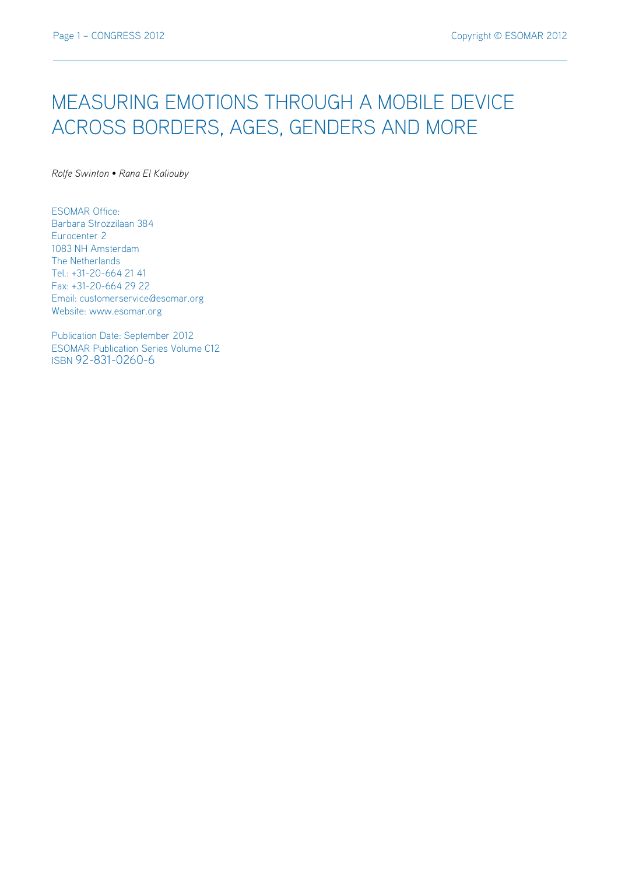# MEASURING EMOTIONS THROUGH A MOBILE DEVICE ACROSS BORDERS, AGES, GENDERS AND MORE

*Rolfe Swinton • Rana El Kaliouby*

ESOMAR Office: Barbara Strozzilaan 384 Eurocenter 2 1083 NH Amsterdam The Netherlands Tel.: +31-20-664 21 41 Fax: +31-20-664 29 22 Email: customerservice@esomar.org Website: www.esomar.org

Publication Date: September 2012 ESOMAR Publication Series Volume C12 ISBN 92-831-0260-6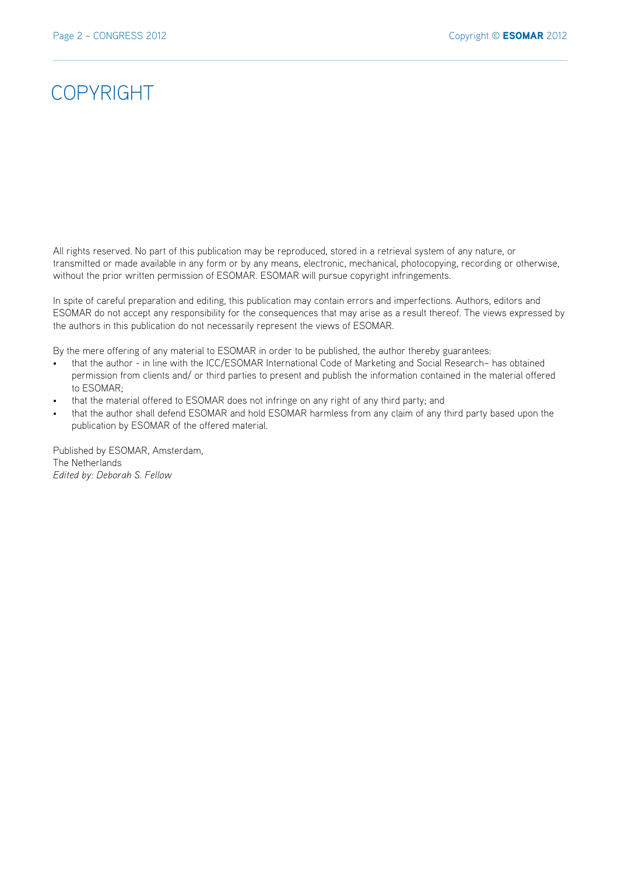## COPYRIGHT

All rights reserved. No part of this publication may be reproduced, stored in a retrieval system of any nature, or transmitted or made available in any form or by any means, electronic, mechanical, photocopying, recording or otherwise, without the prior written permission of ESOMAR. ESOMAR will pursue copyright infringements.

In spite of careful preparation and editing, this publication may contain errors and imperfections. Authors, editors and ESOMAR do not accept any responsibility for the consequences that may arise as a result thereof. The views expressed by the authors in this publication do not necessarily represent the views of ESOMAR.

By the mere offering of any material to ESOMAR in order to be published, the author thereby guarantees:

- that the author in line with the ICC/ESOMAR International Code of Marketing and Social Research– has obtained permission from clients and/ or third parties to present and publish the information contained in the material offered to ESOMAR;
- that the material offered to ESOMAR does not infringe on any right of any third party; and
- that the author shall defend ESOMAR and hold ESOMAR harmless from any claim of any third party based upon the publication by ESOMAR of the offered material.

Published by ESOMAR, Amsterdam, The Netherlands *Edited by: Deborah S. Fellow*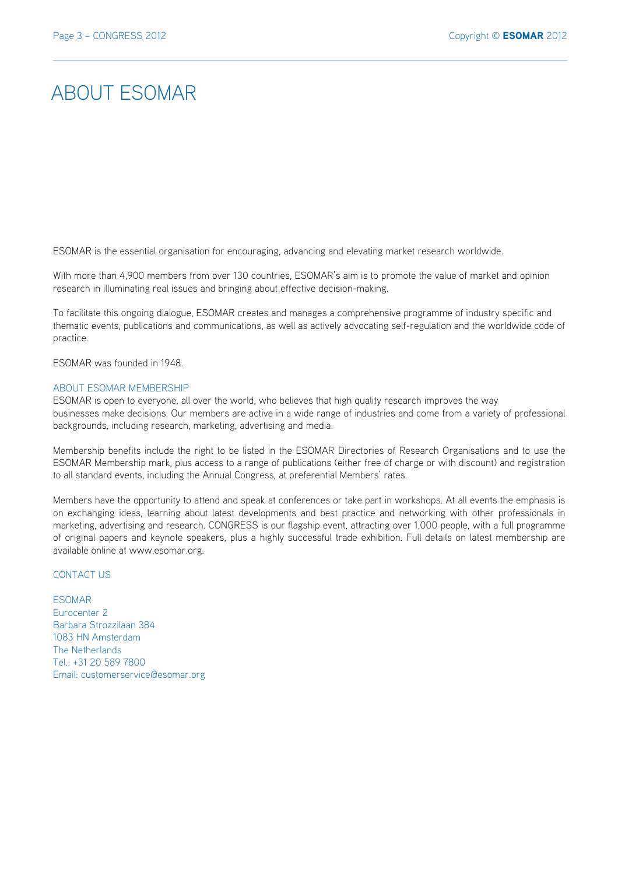## ABOUT ESOMAR

ESOMAR is the essential organisation for encouraging, advancing and elevating market research worldwide.

With more than 4,900 members from over 130 countries, ESOMAR's aim is to promote the value of market and opinion research in illuminating real issues and bringing about effective decision-making.

To facilitate this ongoing dialogue, ESOMAR creates and manages a comprehensive programme of industry specific and thematic events, publications and communications, as well as actively advocating self-regulation and the worldwide code of practice.

ESOMAR was founded in 1948.

#### ABOUT ESOMAR MEMBERSHIP

ESOMAR is open to everyone, all over the world, who believes that high quality research improves the way businesses make decisions. Our members are active in a wide range of industries and come from a variety of professional backgrounds, including research, marketing, advertising and media.

Membership benefits include the right to be listed in the ESOMAR Directories of Research Organisations and to use the ESOMAR Membership mark, plus access to a range of publications (either free of charge or with discount) and registration to all standard events, including the Annual Congress, at preferential Members' rates.

Members have the opportunity to attend and speak at conferences or take part in workshops. At all events the emphasis is on exchanging ideas, learning about latest developments and best practice and networking with other professionals in marketing, advertising and research. CONGRESS is our flagship event, attracting over 1,000 people, with a full programme of original papers and keynote speakers, plus a highly successful trade exhibition. Full details on latest membership are available online at www.esomar.org.

## CONTACT US

ESOMAR Eurocenter 2 Barbara Strozzilaan 384 1083 HN Amsterdam The Netherlands Tel.: +31 20 589 7800 Email: customerservice@esomar.org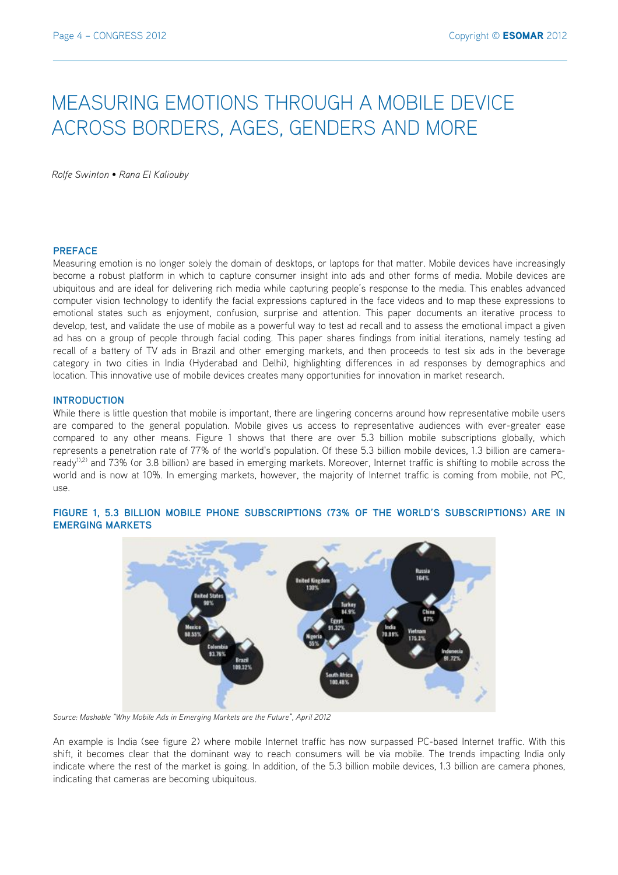# MEASURING EMOTIONS THROUGH A MOBILE DEVICE ACROSS BORDERS, AGES, GENDERS AND MORE

*Rolfe Swinton • Rana El Kaliouby*

#### **PREFACE**

Measuring emotion is no longer solely the domain of desktops, or laptops for that matter. Mobile devices have increasingly become a robust platform in which to capture consumer insight into ads and other forms of media. Mobile devices are ubiquitous and are ideal for delivering rich media while capturing people's response to the media. This enables advanced computer vision technology to identify the facial expressions captured in the face videos and to map these expressions to emotional states such as enjoyment, confusion, surprise and attention. This paper documents an iterative process to develop, test, and validate the use of mobile as a powerful way to test ad recall and to assess the emotional impact a given ad has on a group of people through facial coding. This paper shares findings from initial iterations, namely testing ad recall of a battery of TV ads in Brazil and other emerging markets, and then proceeds to test six ads in the beverage category in two cities in India (Hyderabad and Delhi), highlighting differences in ad responses by demographics and location. This innovative use of mobile devices creates many opportunities for innovation in market research.

#### **INTRODUCTION**

While there is little question that mobile is important, there are lingering concerns around how representative mobile users are compared to the general population. Mobile gives us access to representative audiences with ever-greater ease compared to any other means. Figure 1 shows that there are over 5.3 billion mobile subscriptions globally, which represents a penetration rate of 77% of the world's population. Of these 5.3 billion mobile devices, 1.3 billion are cameraready<sup>1),2)</sup> and 73% (or 3.8 billion) are based in emerging markets. Moreover, Internet traffic is shifting to mobile across the world and is now at 10%. In emerging markets, however, the majority of Internet traffic is coming from mobile, not PC, use.



## **FIGURE 1, 5.3 BILLION MOBILE PHONE SUBSCRIPTIONS (73% OF THE WORLD'S SUBSCRIPTIONS) ARE IN EMERGING MARKETS**

*Source: Mashable "Why Mobile Ads in Emerging Markets are the Future", April 2012*

An example is India (see figure 2) where mobile Internet traffic has now surpassed PC-based Internet traffic. With this shift, it becomes clear that the dominant way to reach consumers will be via mobile. The trends impacting India only indicate where the rest of the market is going. In addition, of the 5.3 billion mobile devices, 1.3 billion are camera phones, indicating that cameras are becoming ubiquitous.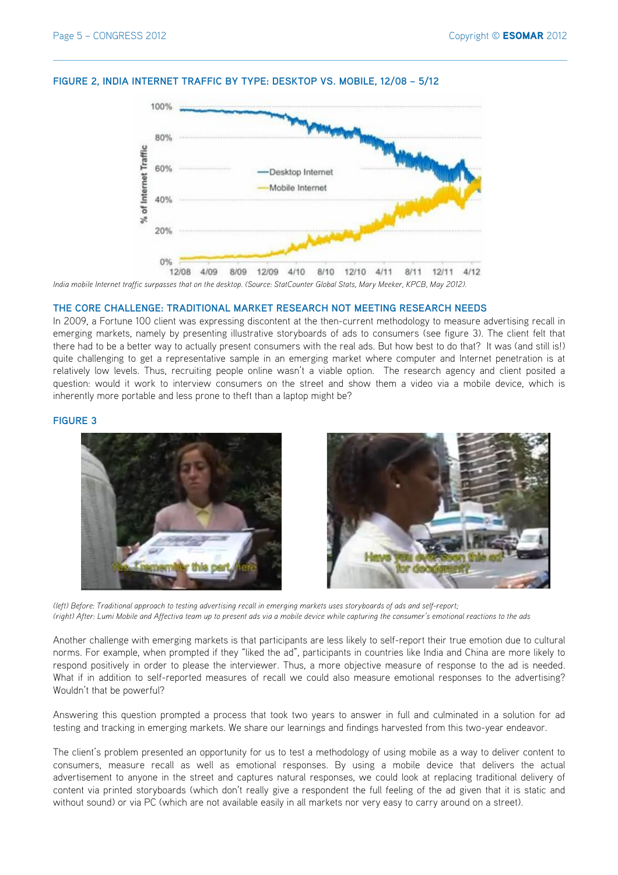#### **FIGURE 2, INDIA INTERNET TRAFFIC BY TYPE: DESKTOP VS. MOBILE, 12/08 – 5/12**



*India mobile Internet traffic surpasses that on the desktop. (Source: StatCounter Global Stats, Mary Meeker, KPCB, May 2012).*

#### **THE CORE CHALLENGE: TRADITIONAL MARKET RESEARCH NOT MEETING RESEARCH NEEDS**

In 2009, a Fortune 100 client was expressing discontent at the then-current methodology to measure advertising recall in emerging markets, namely by presenting illustrative storyboards of ads to consumers (see figure 3). The client felt that there had to be a better way to actually present consumers with the real ads. But how best to do that? It was (and still is!) quite challenging to get a representative sample in an emerging market where computer and Internet penetration is at relatively low levels. Thus, recruiting people online wasn't a viable option. The research agency and client posited a question: would it work to interview consumers on the street and show them a video via a mobile device, which is inherently more portable and less prone to theft than a laptop might be?

#### **FIGURE 3**



*(left) Before: Traditional approach to testing advertising recall in emerging markets uses storyboards of ads and self-report; (right) After: Lumi Mobile and Affectiva team up to present ads via a mobile device while capturing the consumer's emotional reactions to the ads*

Another challenge with emerging markets is that participants are less likely to self-report their true emotion due to cultural norms. For example, when prompted if they "liked the ad", participants in countries like India and China are more likely to respond positively in order to please the interviewer. Thus, a more objective measure of response to the ad is needed. What if in addition to self-reported measures of recall we could also measure emotional responses to the advertising? Wouldn't that be powerful?

Answering this question prompted a process that took two years to answer in full and culminated in a solution for ad testing and tracking in emerging markets. We share our learnings and findings harvested from this two-year endeavor.

The client's problem presented an opportunity for us to test a methodology of using mobile as a way to deliver content to consumers, measure recall as well as emotional responses. By using a mobile device that delivers the actual advertisement to anyone in the street and captures natural responses, we could look at replacing traditional delivery of content via printed storyboards (which don't really give a respondent the full feeling of the ad given that it is static and without sound) or via PC (which are not available easily in all markets nor very easy to carry around on a street).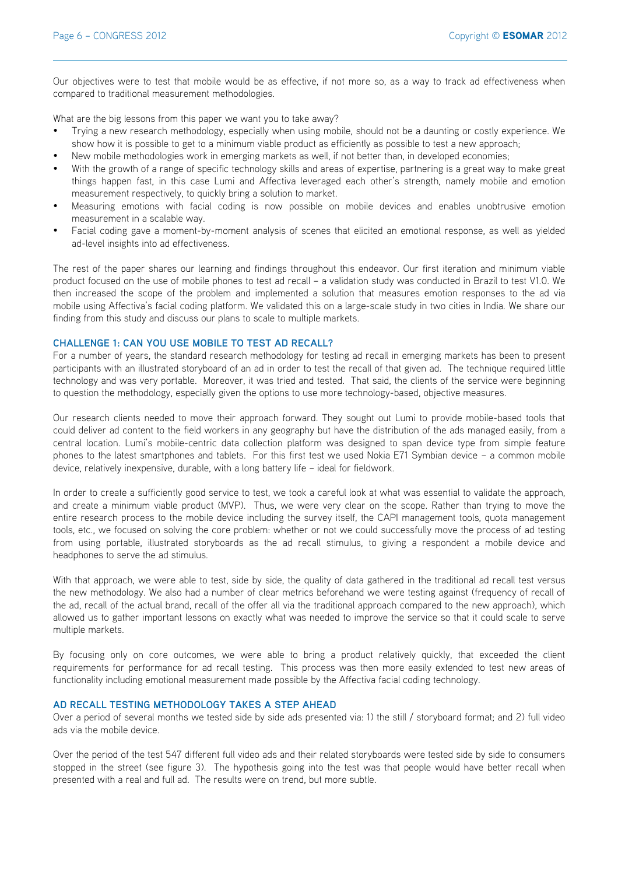Our objectives were to test that mobile would be as effective, if not more so, as a way to track ad effectiveness when compared to traditional measurement methodologies.

What are the big lessons from this paper we want you to take away?

- Trying a new research methodology, especially when using mobile, should not be a daunting or costly experience. We show how it is possible to get to a minimum viable product as efficiently as possible to test a new approach;
- New mobile methodologies work in emerging markets as well, if not better than, in developed economies;
- With the growth of a range of specific technology skills and areas of expertise, partnering is a great way to make great things happen fast, in this case Lumi and Affectiva leveraged each other's strength, namely mobile and emotion measurement respectively, to quickly bring a solution to market.
- Measuring emotions with facial coding is now possible on mobile devices and enables unobtrusive emotion measurement in a scalable way.
- Facial coding gave a moment-by-moment analysis of scenes that elicited an emotional response, as well as yielded ad-level insights into ad effectiveness.

The rest of the paper shares our learning and findings throughout this endeavor. Our first iteration and minimum viable product focused on the use of mobile phones to test ad recall – a validation study was conducted in Brazil to test V1.0. We then increased the scope of the problem and implemented a solution that measures emotion responses to the ad via mobile using Affectiva's facial coding platform. We validated this on a large-scale study in two cities in India. We share our finding from this study and discuss our plans to scale to multiple markets.

#### **CHALLENGE 1: CAN YOU USE MOBILE TO TEST AD RECALL?**

For a number of years, the standard research methodology for testing ad recall in emerging markets has been to present participants with an illustrated storyboard of an ad in order to test the recall of that given ad. The technique required little technology and was very portable. Moreover, it was tried and tested. That said, the clients of the service were beginning to question the methodology, especially given the options to use more technology-based, objective measures.

Our research clients needed to move their approach forward. They sought out Lumi to provide mobile-based tools that could deliver ad content to the field workers in any geography but have the distribution of the ads managed easily, from a central location. Lumi's mobile-centric data collection platform was designed to span device type from simple feature phones to the latest smartphones and tablets. For this first test we used Nokia E71 Symbian device – a common mobile device, relatively inexpensive, durable, with a long battery life – ideal for fieldwork.

In order to create a sufficiently good service to test, we took a careful look at what was essential to validate the approach, and create a minimum viable product (MVP). Thus, we were very clear on the scope. Rather than trying to move the entire research process to the mobile device including the survey itself, the CAPI management tools, quota management tools, etc., we focused on solving the core problem: whether or not we could successfully move the process of ad testing from using portable, illustrated storyboards as the ad recall stimulus, to giving a respondent a mobile device and headphones to serve the ad stimulus.

With that approach, we were able to test, side by side, the quality of data gathered in the traditional ad recall test versus the new methodology. We also had a number of clear metrics beforehand we were testing against (frequency of recall of the ad, recall of the actual brand, recall of the offer all via the traditional approach compared to the new approach), which allowed us to gather important lessons on exactly what was needed to improve the service so that it could scale to serve multiple markets.

By focusing only on core outcomes, we were able to bring a product relatively quickly, that exceeded the client requirements for performance for ad recall testing. This process was then more easily extended to test new areas of functionality including emotional measurement made possible by the Affectiva facial coding technology.

#### **AD RECALL TESTING METHODOLOGY TAKES A STEP AHEAD**

Over a period of several months we tested side by side ads presented via: 1) the still / storyboard format; and 2) full video ads via the mobile device.

Over the period of the test 547 different full video ads and their related storyboards were tested side by side to consumers stopped in the street (see figure 3). The hypothesis going into the test was that people would have better recall when presented with a real and full ad. The results were on trend, but more subtle.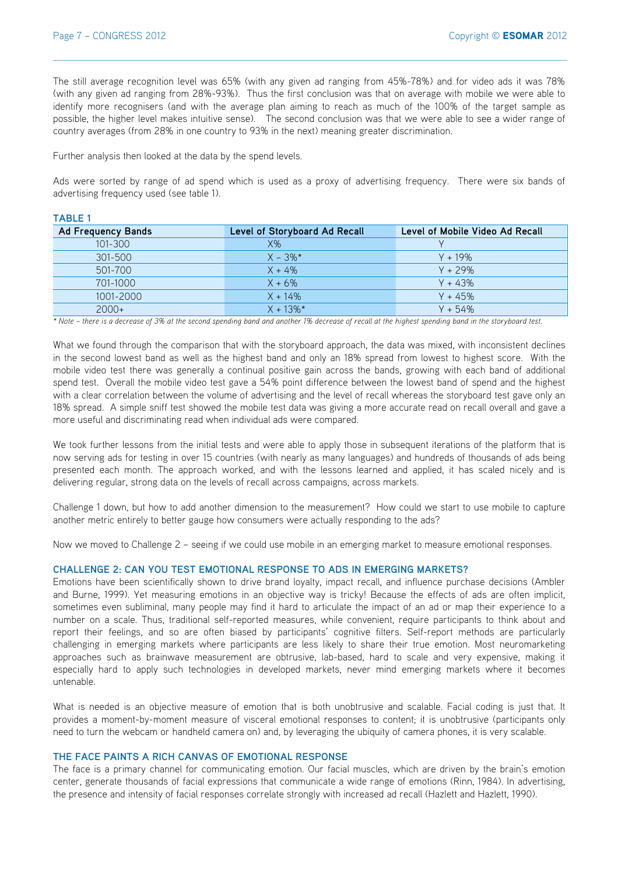**TABLE 1**

The still average recognition level was 65% (with any given ad ranging from 45%-78%) and for video ads it was 78% (with any given ad ranging from 28%-93%). Thus the first conclusion was that on average with mobile we were able to identify more recognisers (and with the average plan aiming to reach as much of the 100% of the target sample as possible, the higher level makes intuitive sense). The second conclusion was that we were able to see a wider range of country averages (from 28% in one country to 93% in the next) meaning greater discrimination.

Further analysis then looked at the data by the spend levels.

Ads were sorted by range of ad spend which is used as a proxy of advertising frequency. There were six bands of advertising frequency used (see table 1).

| 100LL 1            |                               |                                 |  |  |
|--------------------|-------------------------------|---------------------------------|--|--|
| Ad Frequency Bands | Level of Storyboard Ad Recall | Level of Mobile Video Ad Recall |  |  |
| 101-300            | $X\%$                         |                                 |  |  |
| 301-500            | $X - 3\%*$                    | $Y + 19\%$                      |  |  |
| 501-700            | $X + 4\%$                     | $Y + 29%$                       |  |  |
| 701-1000           | $X + 6\%$                     | $Y + 43%$                       |  |  |
| 1001-2000          | $X + 14\%$                    | $Y + 45%$                       |  |  |
| $2000+$            | $X + 13\%$ *                  | $Y + 54%$                       |  |  |

*\* Note – there is a decrease of 3% at the second spending band and another 1% decrease of recall at the highest spending band in the storyboard test.*

What we found through the comparison that with the storyboard approach, the data was mixed, with inconsistent declines in the second lowest band as well as the highest band and only an 18% spread from lowest to highest score. With the mobile video test there was generally a continual positive gain across the bands, growing with each band of additional spend test. Overall the mobile video test gave a 54% point difference between the lowest band of spend and the highest with a clear correlation between the volume of advertising and the level of recall whereas the storyboard test gave only an 18% spread. A simple sniff test showed the mobile test data was giving a more accurate read on recall overall and gave a more useful and discriminating read when individual ads were compared.

We took further lessons from the initial tests and were able to apply those in subsequent iterations of the platform that is now serving ads for testing in over 15 countries (with nearly as many languages) and hundreds of thousands of ads being presented each month. The approach worked, and with the lessons learned and applied, it has scaled nicely and is delivering regular, strong data on the levels of recall across campaigns, across markets.

Challenge 1 down, but how to add another dimension to the measurement? How could we start to use mobile to capture another metric entirely to better gauge how consumers were actually responding to the ads?

Now we moved to Challenge 2 – seeing if we could use mobile in an emerging market to measure emotional responses.

#### **CHALLENGE 2: CAN YOU TEST EMOTIONAL RESPONSE TO ADS IN EMERGING MARKETS?**

Emotions have been scientifically shown to drive brand loyalty, impact recall, and influence purchase decisions (Ambler and Burne, 1999). Yet measuring emotions in an objective way is tricky! Because the effects of ads are often implicit, sometimes even subliminal, many people may find it hard to articulate the impact of an ad or map their experience to a number on a scale. Thus, traditional self-reported measures, while convenient, require participants to think about and report their feelings, and so are often biased by participants' cognitive filters. Self-report methods are particularly challenging in emerging markets where participants are less likely to share their true emotion. Most neuromarketing approaches such as brainwave measurement are obtrusive, lab-based, hard to scale and very expensive, making it especially hard to apply such technologies in developed markets, never mind emerging markets where it becomes untenable.

What is needed is an objective measure of emotion that is both unobtrusive and scalable. Facial coding is just that. It provides a moment-by-moment measure of visceral emotional responses to content; it is unobtrusive (participants only need to turn the webcam or handheld camera on) and, by leveraging the ubiquity of camera phones, it is very scalable.

#### **THE FACE PAINTS A RICH CANVAS OF EMOTIONAL RESPONSE**

The face is a primary channel for communicating emotion. Our facial muscles, which are driven by the brain's emotion center, generate thousands of facial expressions that communicate a wide range of emotions (Rinn, 1984). In advertising, the presence and intensity of facial responses correlate strongly with increased ad recall (Hazlett and Hazlett, 1990).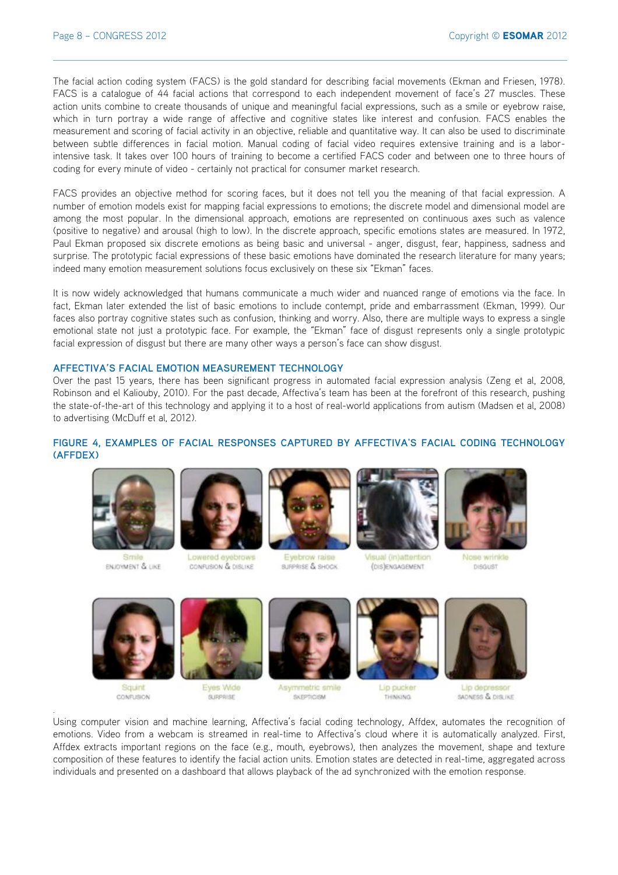The facial action coding system (FACS) is the gold standard for describing facial movements (Ekman and Friesen, 1978). FACS is a catalogue of 44 facial actions that correspond to each independent movement of face's 27 muscles. These action units combine to create thousands of unique and meaningful facial expressions, such as a smile or eyebrow raise, which in turn portray a wide range of affective and cognitive states like interest and confusion. FACS enables the measurement and scoring of facial activity in an objective, reliable and quantitative way. It can also be used to discriminate between subtle differences in facial motion. Manual coding of facial video requires extensive training and is a laborintensive task. It takes over 100 hours of training to become a certified FACS coder and between one to three hours of coding for every minute of video - certainly not practical for consumer market research.

FACS provides an objective method for scoring faces, but it does not tell you the meaning of that facial expression. A number of emotion models exist for mapping facial expressions to emotions; the discrete model and dimensional model are among the most popular. In the dimensional approach, emotions are represented on continuous axes such as valence (positive to negative) and arousal (high to low). In the discrete approach, specific emotions states are measured. In 1972, Paul Ekman proposed six discrete emotions as being basic and universal - anger, disgust, fear, happiness, sadness and surprise. The prototypic facial expressions of these basic emotions have dominated the research literature for many years; indeed many emotion measurement solutions focus exclusively on these six "Ekman" faces.

It is now widely acknowledged that humans communicate a much wider and nuanced range of emotions via the face. In fact, Ekman later extended the list of basic emotions to include contempt, pride and embarrassment (Ekman, 1999). Our faces also portray cognitive states such as confusion, thinking and worry. Also, there are multiple ways to express a single emotional state not just a prototypic face. For example, the "Ekman" face of disgust represents only a single prototypic facial expression of disgust but there are many other ways a person's face can show disgust.

## **AFFECTIVA'S FACIAL EMOTION MEASUREMENT TECHNOLOGY**

Over the past 15 years, there has been significant progress in automated facial expression analysis (Zeng et al, 2008, Robinson and el Kaliouby, 2010). For the past decade, Affectiva's team has been at the forefront of this research, pushing the state-of-the-art of this technology and applying it to a host of real-world applications from autism (Madsen et al, 2008) to advertising (McDuff et al, 2012).

## **FIGURE 4, EXAMPLES OF FACIAL RESPONSES CAPTURED BY AFFECTIVA'S FACIAL CODING TECHNOLOGY (AFFDEX)**



ENJOYMENT & LIKE



Lowered a CONFUSION & DISLIKE



BURPRISE & SHOCK



(DIS) ENGAGEMENT



Nose wrinkles DISGUST



Squint CONFUSION

*.*



Eyes Wide **SURPRISE** 



Asymmetric smile **SKEPTICISM** 



Lip pucker **THINKING** 



Lip de SADNESS & DISLIKE

Using computer vision and machine learning, Affectiva's facial coding technology, Affdex, automates the recognition of emotions. Video from a webcam is streamed in real-time to Affectiva's cloud where it is automatically analyzed. First, Affdex extracts important regions on the face (e.g., mouth, eyebrows), then analyzes the movement, shape and texture composition of these features to identify the facial action units. Emotion states are detected in real-time, aggregated across individuals and presented on a dashboard that allows playback of the ad synchronized with the emotion response.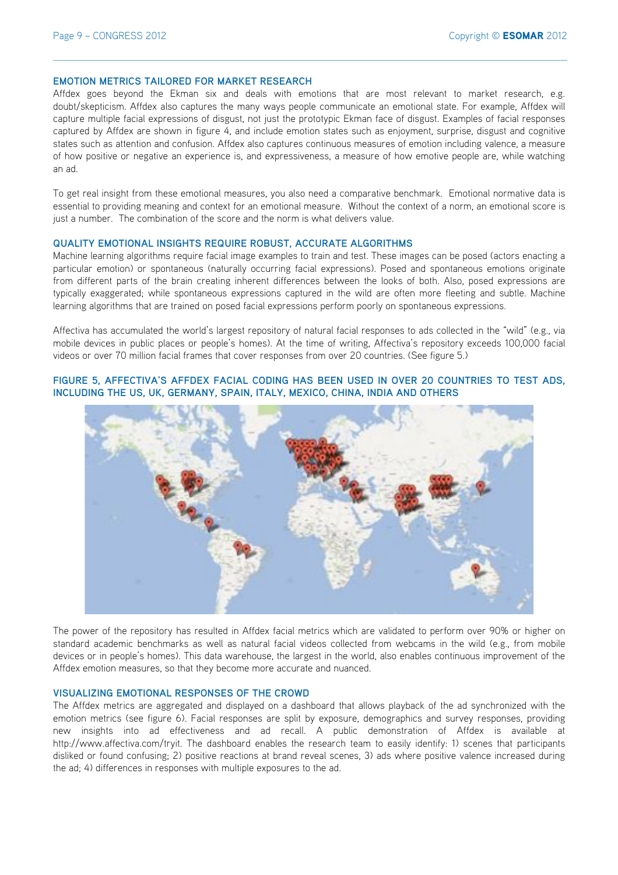#### **EMOTION METRICS TAILORED FOR MARKET RESEARCH**

Affdex goes beyond the Ekman six and deals with emotions that are most relevant to market research, e.g. doubt/skepticism. Affdex also captures the many ways people communicate an emotional state. For example, Affdex will capture multiple facial expressions of disgust, not just the prototypic Ekman face of disgust. Examples of facial responses captured by Affdex are shown in figure 4, and include emotion states such as enjoyment, surprise, disgust and cognitive states such as attention and confusion. Affdex also captures continuous measures of emotion including valence, a measure of how positive or negative an experience is, and expressiveness, a measure of how emotive people are, while watching an ad.

To get real insight from these emotional measures, you also need a comparative benchmark. Emotional normative data is essential to providing meaning and context for an emotional measure. Without the context of a norm, an emotional score is just a number. The combination of the score and the norm is what delivers value.

#### **QUALITY EMOTIONAL INSIGHTS REQUIRE ROBUST, ACCURATE ALGORITHMS**

Machine learning algorithms require facial image examples to train and test. These images can be posed (actors enacting a particular emotion) or spontaneous (naturally occurring facial expressions). Posed and spontaneous emotions originate from different parts of the brain creating inherent differences between the looks of both. Also, posed expressions are typically exaggerated; while spontaneous expressions captured in the wild are often more fleeting and subtle. Machine learning algorithms that are trained on posed facial expressions perform poorly on spontaneous expressions.

Affectiva has accumulated the world's largest repository of natural facial responses to ads collected in the "wild" (e.g., via mobile devices in public places or people's homes). At the time of writing, Affectiva's repository exceeds 100,000 facial videos or over 70 million facial frames that cover responses from over 20 countries. (See figure 5.)

## **FIGURE 5, AFFECTIVA'S AFFDEX FACIAL CODING HAS BEEN USED IN OVER 20 COUNTRIES TO TEST ADS, INCLUDING THE US, UK, GERMANY, SPAIN, ITALY, MEXICO, CHINA, INDIA AND OTHERS**



The power of the repository has resulted in Affdex facial metrics which are validated to perform over 90% or higher on standard academic benchmarks as well as natural facial videos collected from webcams in the wild (e.g., from mobile devices or in people's homes). This data warehouse, the largest in the world, also enables continuous improvement of the Affdex emotion measures, so that they become more accurate and nuanced.

#### **VISUALIZING EMOTIONAL RESPONSES OF THE CROWD**

The Affdex metrics are aggregated and displayed on a dashboard that allows playback of the ad synchronized with the emotion metrics (see figure 6). Facial responses are split by exposure, demographics and survey responses, providing new insights into ad effectiveness and ad recall. A public demonstration of Affdex is available at http://www.affectiva.com/tryit. The dashboard enables the research team to easily identify: 1) scenes that participants disliked or found confusing; 2) positive reactions at brand reveal scenes, 3) ads where positive valence increased during the ad; 4) differences in responses with multiple exposures to the ad.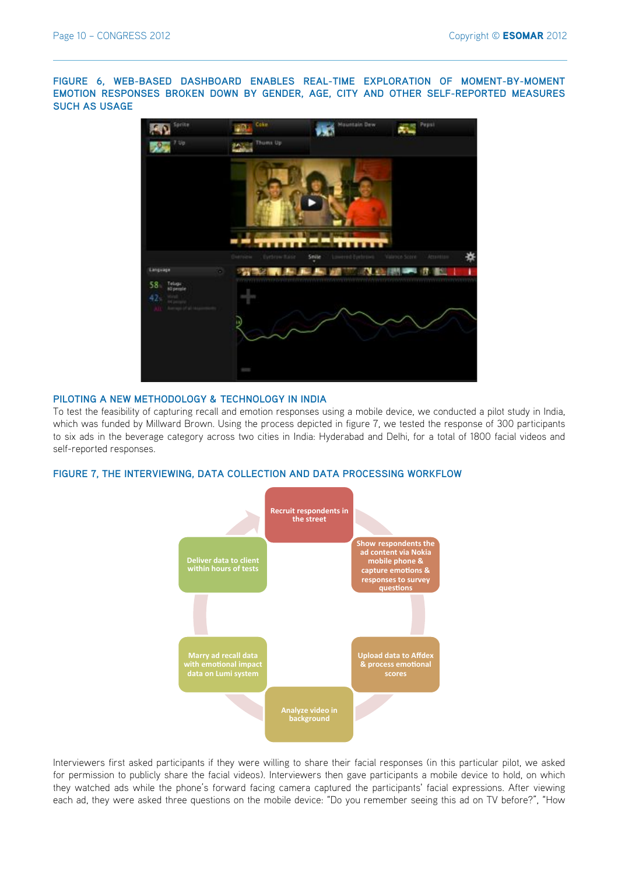**FIGURE 6, WEB-BASED DASHBOARD ENABLES REAL-TIME EXPLORATION OF MOMENT-BY-MOMENT EMOTION RESPONSES BROKEN DOWN BY GENDER, AGE, CITY AND OTHER SELF-REPORTED MEASURES SUCH AS USAGE**



#### **PILOTING A NEW METHODOLOGY & TECHNOLOGY IN INDIA**

To test the feasibility of capturing recall and emotion responses using a mobile device, we conducted a pilot study in India, which was funded by Millward Brown. Using the process depicted in figure 7, we tested the response of 300 participants to six ads in the beverage category across two cities in India: Hyderabad and Delhi, for a total of 1800 facial videos and self-reported responses.

## **FIGURE 7, THE INTERVIEWING, DATA COLLECTION AND DATA PROCESSING WORKFLOW**



Interviewers first asked participants if they were willing to share their facial responses (in this particular pilot, we asked for permission to publicly share the facial videos). Interviewers then gave participants a mobile device to hold, on which they watched ads while the phone's forward facing camera captured the participants' facial expressions. After viewing each ad, they were asked three questions on the mobile device: "Do you remember seeing this ad on TV before?", "How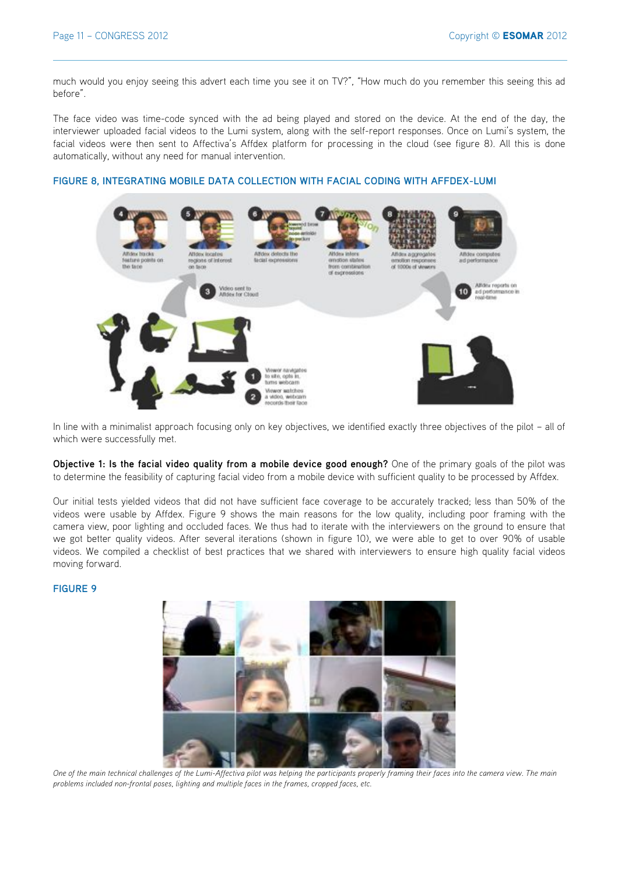much would you enjoy seeing this advert each time you see it on TV?", "How much do you remember this seeing this ad before".

The face video was time-code synced with the ad being played and stored on the device. At the end of the day, the interviewer uploaded facial videos to the Lumi system, along with the self-report responses. Once on Lumi's system, the facial videos were then sent to Affectiva's Affdex platform for processing in the cloud (see figure 8). All this is done automatically, without any need for manual intervention.

## **FIGURE 8, INTEGRATING MOBILE DATA COLLECTION WITH FACIAL CODING WITH AFFDEX-LUMI**



In line with a minimalist approach focusing only on key objectives, we identified exactly three objectives of the pilot – all of which were successfully met.

**Objective 1: Is the facial video quality from a mobile device good enough?** One of the primary goals of the pilot was to determine the feasibility of capturing facial video from a mobile device with sufficient quality to be processed by Affdex.

Our initial tests yielded videos that did not have sufficient face coverage to be accurately tracked; less than 50% of the videos were usable by Affdex. Figure 9 shows the main reasons for the low quality, including poor framing with the camera view, poor lighting and occluded faces. We thus had to iterate with the interviewers on the ground to ensure that we got better quality videos. After several iterations (shown in figure 10), we were able to get to over 90% of usable videos. We compiled a checklist of best practices that we shared with interviewers to ensure high quality facial videos moving forward.

## **FIGURE 9**



*One of the main technical challenges of the Lumi-Affectiva pilot was helping the participants properly framing their faces into the camera view. The main problems included non-frontal poses, lighting and multiple faces in the frames, cropped faces, etc.*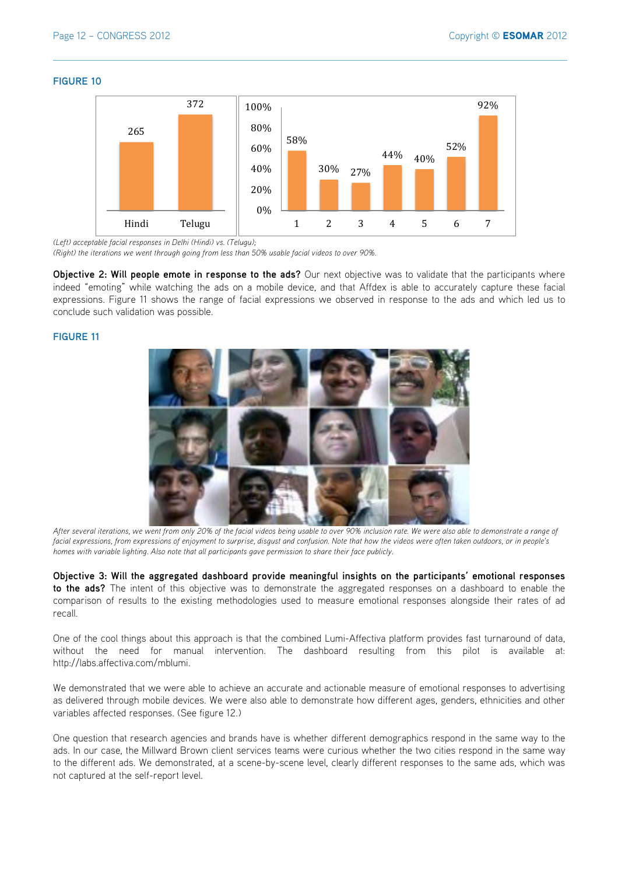#### **FIGURE 10**



*(Left) acceptable facial responses in Delhi (Hindi) vs. (Telugu);* 

*(Right) the iterations we went through going from less than 50% usable facial videos to over 90%.*

**Objective 2: Will people emote in response to the ads?** Our next objective was to validate that the participants where indeed "emoting" while watching the ads on a mobile device, and that Affdex is able to accurately capture these facial expressions. Figure 11 shows the range of facial expressions we observed in response to the ads and which led us to conclude such validation was possible.

## **FIGURE 11**



*After several iterations, we went from only 20% of the facial videos being usable to over 90% inclusion rate. We were also able to demonstrate a range of*  facial expressions, from expressions of enjoyment to surprise, disgust and confusion. Note that how the videos were often taken outdoors, or in people's *homes with variable lighting. Also note that all participants gave permission to share their face publicly.*

**Objective 3: Will the aggregated dashboard provide meaningful insights on the participants' emotional responses to the ads?** The intent of this objective was to demonstrate the aggregated responses on a dashboard to enable the comparison of results to the existing methodologies used to measure emotional responses alongside their rates of ad recall.

One of the cool things about this approach is that the combined Lumi-Affectiva platform provides fast turnaround of data, without the need for manual intervention. The dashboard resulting from this pilot is available at: http://labs.affectiva.com/mblumi.

We demonstrated that we were able to achieve an accurate and actionable measure of emotional responses to advertising as delivered through mobile devices. We were also able to demonstrate how different ages, genders, ethnicities and other variables affected responses. (See figure 12.)

One question that research agencies and brands have is whether different demographics respond in the same way to the ads. In our case, the Millward Brown client services teams were curious whether the two cities respond in the same way to the different ads. We demonstrated, at a scene-by-scene level, clearly different responses to the same ads, which was not captured at the self-report level.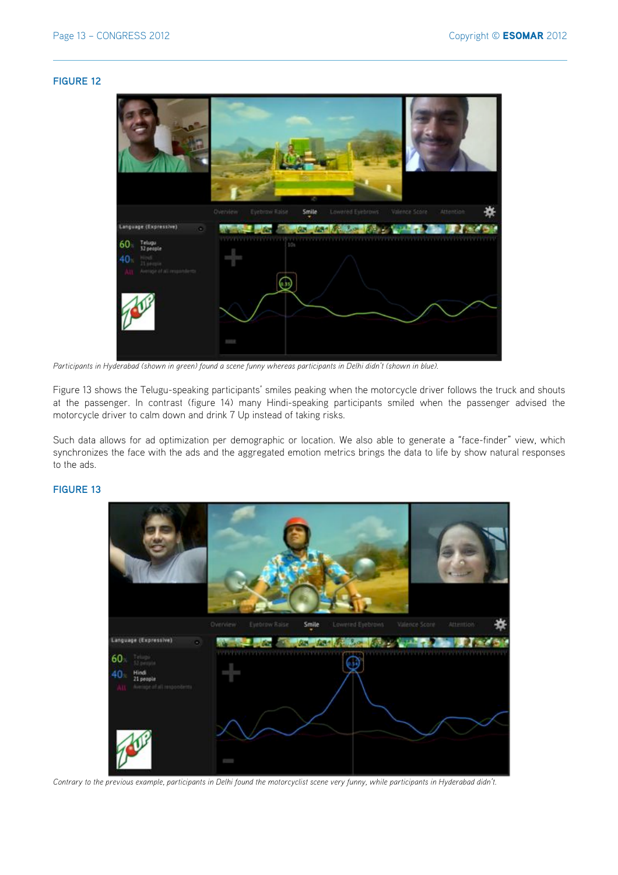### **FIGURE 12**



*Participants in Hyderabad (shown in green) found a scene funny whereas participants in Delhi didn't (shown in blue).*

Figure 13 shows the Telugu-speaking participants' smiles peaking when the motorcycle driver follows the truck and shouts at the passenger. In contrast (figure 14) many Hindi-speaking participants smiled when the passenger advised the motorcycle driver to calm down and drink 7 Up instead of taking risks.

Such data allows for ad optimization per demographic or location. We also able to generate a "face-finder" view, which synchronizes the face with the ads and the aggregated emotion metrics brings the data to life by show natural responses to the ads.

## **FIGURE 13**



*Contrary to the previous example, participants in Delhi found the motorcyclist scene very funny, while participants in Hyderabad didn't.*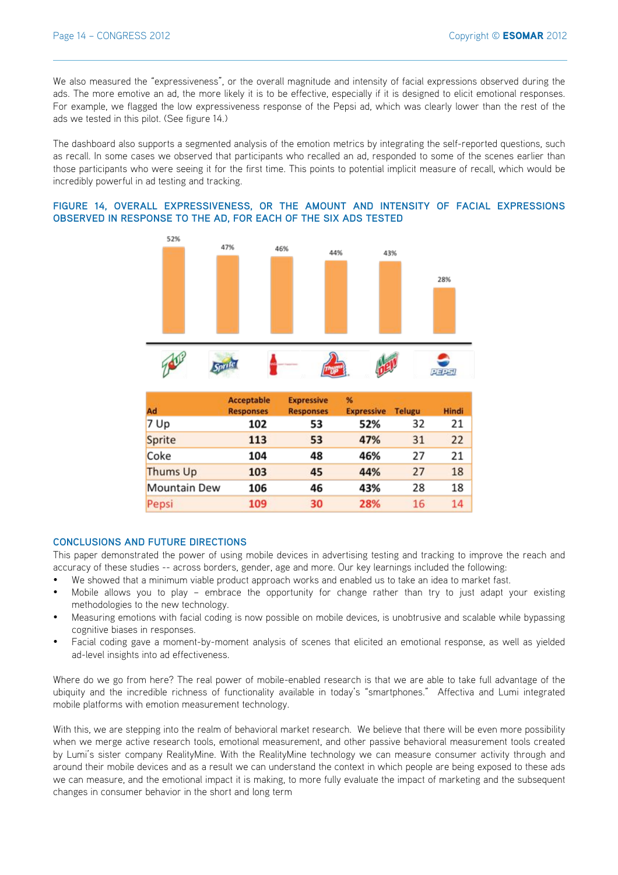We also measured the "expressiveness", or the overall magnitude and intensity of facial expressions observed during the ads. The more emotive an ad, the more likely it is to be effective, especially if it is designed to elicit emotional responses. For example, we flagged the low expressiveness response of the Pepsi ad, which was clearly lower than the rest of the ads we tested in this pilot. (See figure 14.)

The dashboard also supports a segmented analysis of the emotion metrics by integrating the self-reported questions, such as recall. In some cases we observed that participants who recalled an ad, responded to some of the scenes earlier than those participants who were seeing it for the first time. This points to potential implicit measure of recall, which would be incredibly powerful in ad testing and tracking.

## **FIGURE 14, OVERALL EXPRESSIVENESS, OR THE AMOUNT AND INTENSITY OF FACIAL EXPRESSIONS OBSERVED IN RESPONSE TO THE AD, FOR EACH OF THE SIX ADS TESTED**





| Ad                  | <b>Acceptable</b><br><b>Responses</b> | <b>Expressive</b><br><b>Responses</b> | %<br><b>Expressive</b> | <b>Telugu</b> | <b>Hindi</b> |
|---------------------|---------------------------------------|---------------------------------------|------------------------|---------------|--------------|
| 7 Up                | 102                                   | 53                                    | 52%                    | 32            | 21           |
| Sprite              | 113                                   | 53                                    | 47%                    | 31            | 22           |
| Coke                | 104                                   | 48                                    | 46%                    | 27            | 21           |
| Thums Up            | 103                                   | 45                                    | 44%                    | 27            | 18           |
| <b>Mountain Dew</b> | 106                                   | 46                                    | 43%                    | 28            | 18           |
| Pepsi               | 109                                   | 30                                    | 28%                    | 16            | 14           |

## **CONCLUSIONS AND FUTURE DIRECTIONS**

This paper demonstrated the power of using mobile devices in advertising testing and tracking to improve the reach and accuracy of these studies -- across borders, gender, age and more. Our key learnings included the following:

- We showed that a minimum viable product approach works and enabled us to take an idea to market fast.
- Mobile allows you to play embrace the opportunity for change rather than try to just adapt your existing methodologies to the new technology.
- Measuring emotions with facial coding is now possible on mobile devices, is unobtrusive and scalable while bypassing cognitive biases in responses.
- Facial coding gave a moment-by-moment analysis of scenes that elicited an emotional response, as well as yielded ad-level insights into ad effectiveness.

Where do we go from here? The real power of mobile-enabled research is that we are able to take full advantage of the ubiquity and the incredible richness of functionality available in today's "smartphones." Affectiva and Lumi integrated mobile platforms with emotion measurement technology.

With this, we are stepping into the realm of behavioral market research. We believe that there will be even more possibility when we merge active research tools, emotional measurement, and other passive behavioral measurement tools created by Lumi's sister company RealityMine. With the RealityMine technology we can measure consumer activity through and around their mobile devices and as a result we can understand the context in which people are being exposed to these ads we can measure, and the emotional impact it is making, to more fully evaluate the impact of marketing and the subsequent changes in consumer behavior in the short and long term